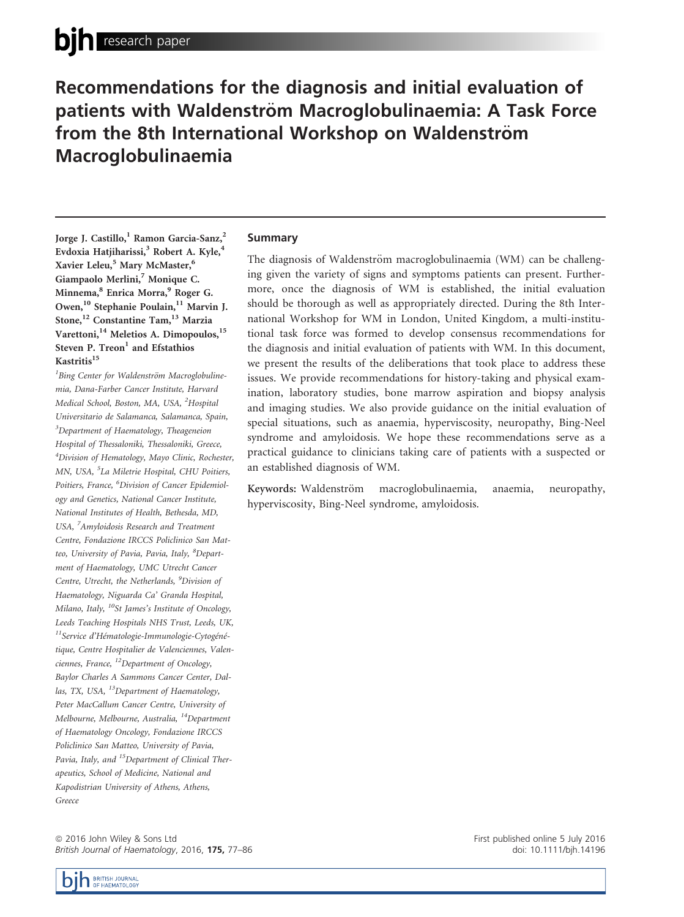# Recommendations for the diagnosis and initial evaluation of patients with Waldenström Macroglobulinaemia: A Task Force from the 8th International Workshop on Waldenström Macroglobulinaemia

Jorge J. Castillo,<sup>1</sup> Ramon Garcia-Sanz,<sup>2</sup> Evdoxia Hatjiharissi,<sup>3</sup> Robert A. Kyle,<sup>4</sup> Xavier Leleu,<sup>5</sup> Mary McMaster,<sup>6</sup> Giampaolo Merlini,<sup>7</sup> Monique C. Minnema,<sup>8</sup> Enrica Morra,<sup>9</sup> Roger G. Owen,<sup>10</sup> Stephanie Poulain,<sup>11</sup> Marvin J. Stone,<sup>12</sup> Constantine Tam,<sup>13</sup> Marzia Varettoni,<sup>14</sup> Meletios A. Dimopoulos,<sup>15</sup> Steven P. Treon<sup>1</sup> and Efstathios Kastritis<sup>15</sup>

<sup>1</sup>Bing Center for Waldenström Macroglobulinemia, Dana-Farber Cancer Institute, Harvard Medical School, Boston, MA, USA, <sup>2</sup>Hospital Universitario de Salamanca, Salamanca, Spain, <sup>3</sup>Department of Haematology, Theageneion Hospital of Thessaloniki, Thessaloniki, Greece, <sup>4</sup>Division of Hematology, Mayo Clinic, Rochester, MN, USA, <sup>5</sup>La Miletrie Hospital, CHU Poitiers, Poitiers, France, <sup>6</sup>Division of Cancer Epidemiology and Genetics, National Cancer Institute, National Institutes of Health, Bethesda, MD, USA, <sup>7</sup>Amyloidosis Research and Treatment Centre, Fondazione IRCCS Policlinico San Matteo, University of Pavia, Pavia, Italy, <sup>8</sup>Department of Haematology, UMC Utrecht Cancer Centre, Utrecht, the Netherlands, <sup>9</sup>Division of Haematology, Niguarda Ca' Granda Hospital, Milano, Italy,  ${}^{10}St$  James's Institute of Oncology, Leeds Teaching Hospitals NHS Trust, Leeds, UK, <sup>11</sup>Service d'Hématologie-Immunologie-Cytogénétique, Centre Hospitalier de Valenciennes, Valenciennes, France,  $^{12}$ Department of Oncology, Baylor Charles A Sammons Cancer Center, Dallas, TX, USA,  $^{13}$ Department of Haematology, Peter MacCallum Cancer Centre, University of Melbourne, Melbourne, Australia, 14Department of Haematology Oncology, Fondazione IRCCS Policlinico San Matteo, University of Pavia, Pavia, Italy, and <sup>15</sup>Department of Clinical Therapeutics, School of Medicine, National and Kapodistrian University of Athens, Athens, Greece

ª 2016 John Wiley & Sons Ltd British Journal of Haematology, 2016, 175, 77–86

### Summary

The diagnosis of Waldenström macroglobulinaemia (WM) can be challenging given the variety of signs and symptoms patients can present. Furthermore, once the diagnosis of WM is established, the initial evaluation should be thorough as well as appropriately directed. During the 8th International Workshop for WM in London, United Kingdom, a multi-institutional task force was formed to develop consensus recommendations for the diagnosis and initial evaluation of patients with WM. In this document, we present the results of the deliberations that took place to address these issues. We provide recommendations for history-taking and physical examination, laboratory studies, bone marrow aspiration and biopsy analysis and imaging studies. We also provide guidance on the initial evaluation of special situations, such as anaemia, hyperviscosity, neuropathy, Bing-Neel syndrome and amyloidosis. We hope these recommendations serve as a practical guidance to clinicians taking care of patients with a suspected or an established diagnosis of WM.

Keywords: Waldenström macroglobulinaemia, anaemia, neuropathy, hyperviscosity, Bing-Neel syndrome, amyloidosis.

> First published online 5 July 2016 doi: 10.1111/bjh.14196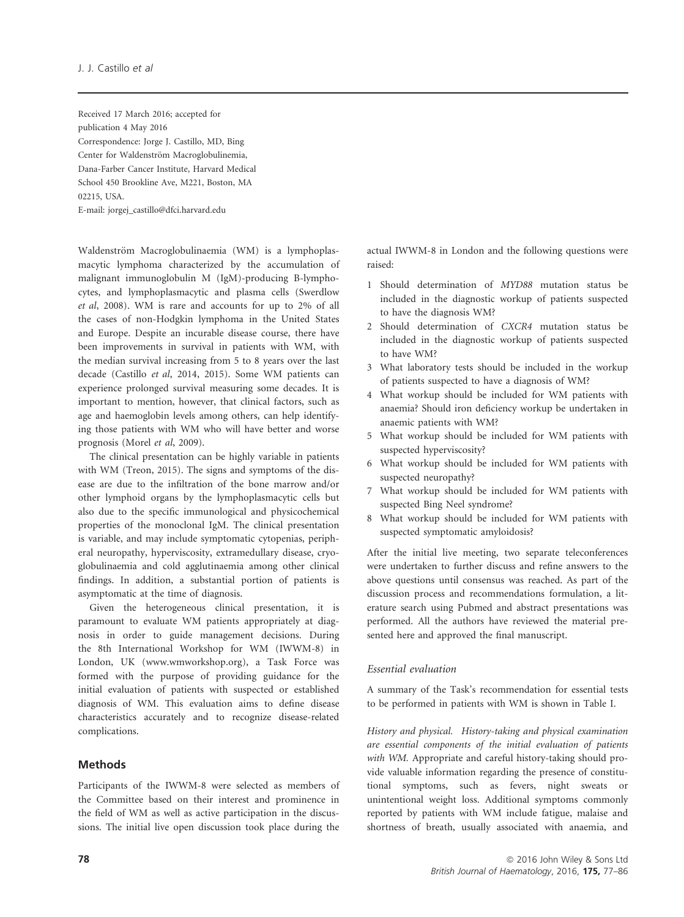Received 17 March 2016; accepted for publication 4 May 2016 Correspondence: Jorge J. Castillo, MD, Bing Center for Waldenström Macroglobulinemia, Dana-Farber Cancer Institute, Harvard Medical School 450 Brookline Ave, M221, Boston, MA 02215, USA.

E-mail: jorgej\_castillo@dfci.harvard.edu

Waldenström Macroglobulinaemia (WM) is a lymphoplasmacytic lymphoma characterized by the accumulation of malignant immunoglobulin M (IgM)-producing B-lymphocytes, and lymphoplasmacytic and plasma cells (Swerdlow et al, 2008). WM is rare and accounts for up to 2% of all the cases of non-Hodgkin lymphoma in the United States and Europe. Despite an incurable disease course, there have been improvements in survival in patients with WM, with the median survival increasing from 5 to 8 years over the last decade (Castillo et al, 2014, 2015). Some WM patients can experience prolonged survival measuring some decades. It is important to mention, however, that clinical factors, such as age and haemoglobin levels among others, can help identifying those patients with WM who will have better and worse prognosis (Morel et al, 2009).

The clinical presentation can be highly variable in patients with WM (Treon, 2015). The signs and symptoms of the disease are due to the infiltration of the bone marrow and/or other lymphoid organs by the lymphoplasmacytic cells but also due to the specific immunological and physicochemical properties of the monoclonal IgM. The clinical presentation is variable, and may include symptomatic cytopenias, peripheral neuropathy, hyperviscosity, extramedullary disease, cryoglobulinaemia and cold agglutinaemia among other clinical findings. In addition, a substantial portion of patients is asymptomatic at the time of diagnosis.

Given the heterogeneous clinical presentation, it is paramount to evaluate WM patients appropriately at diagnosis in order to guide management decisions. During the 8th International Workshop for WM (IWWM-8) in London, UK [\(www.wmworkshop.org\)](http://www.wmworkshop.org), a Task Force was formed with the purpose of providing guidance for the initial evaluation of patients with suspected or established diagnosis of WM. This evaluation aims to define disease characteristics accurately and to recognize disease-related complications.

## Methods

Participants of the IWWM-8 were selected as members of the Committee based on their interest and prominence in the field of WM as well as active participation in the discussions. The initial live open discussion took place during the

actual IWWM-8 in London and the following questions were raised:

- 1 Should determination of MYD88 mutation status be included in the diagnostic workup of patients suspected to have the diagnosis WM?
- 2 Should determination of CXCR4 mutation status be included in the diagnostic workup of patients suspected to have WM?
- 3 What laboratory tests should be included in the workup of patients suspected to have a diagnosis of WM?
- 4 What workup should be included for WM patients with anaemia? Should iron deficiency workup be undertaken in anaemic patients with WM?
- 5 What workup should be included for WM patients with suspected hyperviscosity?
- 6 What workup should be included for WM patients with suspected neuropathy?
- 7 What workup should be included for WM patients with suspected Bing Neel syndrome?
- 8 What workup should be included for WM patients with suspected symptomatic amyloidosis?

After the initial live meeting, two separate teleconferences were undertaken to further discuss and refine answers to the above questions until consensus was reached. As part of the discussion process and recommendations formulation, a literature search using Pubmed and abstract presentations was performed. All the authors have reviewed the material presented here and approved the final manuscript.

## Essential evaluation

A summary of the Task's recommendation for essential tests to be performed in patients with WM is shown in Table I.

History and physical. History-taking and physical examination are essential components of the initial evaluation of patients with WM. Appropriate and careful history-taking should provide valuable information regarding the presence of constitutional symptoms, such as fevers, night sweats or unintentional weight loss. Additional symptoms commonly reported by patients with WM include fatigue, malaise and shortness of breath, usually associated with anaemia, and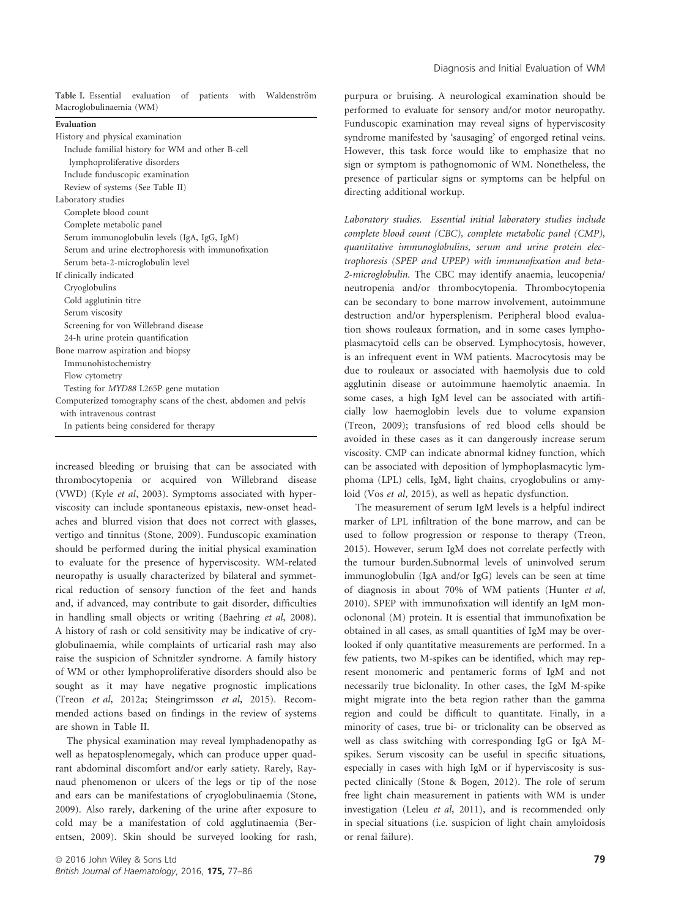Table I. Essential evaluation of patients with Waldenström Macroglobulinaemia (WM)

#### Evaluation

| History and physical examination                               |
|----------------------------------------------------------------|
|                                                                |
| Include familial history for WM and other B-cell               |
| lymphoproliferative disorders                                  |
| Include funduscopic examination                                |
| Review of systems (See Table II)                               |
| Laboratory studies                                             |
| Complete blood count                                           |
| Complete metabolic panel                                       |
| Serum immunoglobulin levels (IgA, IgG, IgM)                    |
| Serum and urine electrophoresis with immunofixation            |
| Serum beta-2-microglobulin level                               |
| If clinically indicated                                        |
| Cryoglobulins                                                  |
| Cold agglutinin titre                                          |
| Serum viscosity                                                |
| Screening for von Willebrand disease                           |
| 24-h urine protein quantification                              |
| Bone marrow aspiration and biopsy                              |
| Immunohistochemistry                                           |
| Flow cytometry                                                 |
| Testing for <i>MYD88</i> L265P gene mutation                   |
| Computerized tomography scans of the chest, abdomen and pelvis |
| with intravenous contrast                                      |
| In patients being considered for therapy                       |

increased bleeding or bruising that can be associated with thrombocytopenia or acquired von Willebrand disease (VWD) (Kyle et al, 2003). Symptoms associated with hyperviscosity can include spontaneous epistaxis, new-onset headaches and blurred vision that does not correct with glasses, vertigo and tinnitus (Stone, 2009). Funduscopic examination should be performed during the initial physical examination to evaluate for the presence of hyperviscosity. WM-related neuropathy is usually characterized by bilateral and symmetrical reduction of sensory function of the feet and hands and, if advanced, may contribute to gait disorder, difficulties in handling small objects or writing (Baehring et al, 2008). A history of rash or cold sensitivity may be indicative of cryglobulinaemia, while complaints of urticarial rash may also raise the suspicion of Schnitzler syndrome. A family history of WM or other lymphoproliferative disorders should also be sought as it may have negative prognostic implications (Treon et al, 2012a; Steingrimsson et al, 2015). Recommended actions based on findings in the review of systems are shown in Table II.

The physical examination may reveal lymphadenopathy as well as hepatosplenomegaly, which can produce upper quadrant abdominal discomfort and/or early satiety. Rarely, Raynaud phenomenon or ulcers of the legs or tip of the nose and ears can be manifestations of cryoglobulinaemia (Stone, 2009). Also rarely, darkening of the urine after exposure to cold may be a manifestation of cold agglutinaemia (Berentsen, 2009). Skin should be surveyed looking for rash, purpura or bruising. A neurological examination should be performed to evaluate for sensory and/or motor neuropathy. Funduscopic examination may reveal signs of hyperviscosity syndrome manifested by 'sausaging' of engorged retinal veins. However, this task force would like to emphasize that no sign or symptom is pathognomonic of WM. Nonetheless, the presence of particular signs or symptoms can be helpful on directing additional workup.

Laboratory studies. Essential initial laboratory studies include complete blood count (CBC), complete metabolic panel (CMP), quantitative immunoglobulins, serum and urine protein electrophoresis (SPEP and UPEP) with immunofixation and beta-2-microglobulin. The CBC may identify anaemia, leucopenia/ neutropenia and/or thrombocytopenia. Thrombocytopenia can be secondary to bone marrow involvement, autoimmune destruction and/or hypersplenism. Peripheral blood evaluation shows rouleaux formation, and in some cases lymphoplasmacytoid cells can be observed. Lymphocytosis, however, is an infrequent event in WM patients. Macrocytosis may be due to rouleaux or associated with haemolysis due to cold agglutinin disease or autoimmune haemolytic anaemia. In some cases, a high IgM level can be associated with artificially low haemoglobin levels due to volume expansion (Treon, 2009); transfusions of red blood cells should be avoided in these cases as it can dangerously increase serum viscosity. CMP can indicate abnormal kidney function, which can be associated with deposition of lymphoplasmacytic lymphoma (LPL) cells, IgM, light chains, cryoglobulins or amyloid (Vos et al, 2015), as well as hepatic dysfunction.

The measurement of serum IgM levels is a helpful indirect marker of LPL infiltration of the bone marrow, and can be used to follow progression or response to therapy (Treon, 2015). However, serum IgM does not correlate perfectly with the tumour burden.Subnormal levels of uninvolved serum immunoglobulin (IgA and/or IgG) levels can be seen at time of diagnosis in about 70% of WM patients (Hunter et al, 2010). SPEP with immunofixation will identify an IgM monoclononal (M) protein. It is essential that immunofixation be obtained in all cases, as small quantities of IgM may be overlooked if only quantitative measurements are performed. In a few patients, two M-spikes can be identified, which may represent monomeric and pentameric forms of IgM and not necessarily true biclonality. In other cases, the IgM M-spike might migrate into the beta region rather than the gamma region and could be difficult to quantitate. Finally, in a minority of cases, true bi- or triclonality can be observed as well as class switching with corresponding IgG or IgA Mspikes. Serum viscosity can be useful in specific situations, especially in cases with high IgM or if hyperviscosity is suspected clinically (Stone & Bogen, 2012). The role of serum free light chain measurement in patients with WM is under investigation (Leleu et al, 2011), and is recommended only in special situations (i.e. suspicion of light chain amyloidosis or renal failure).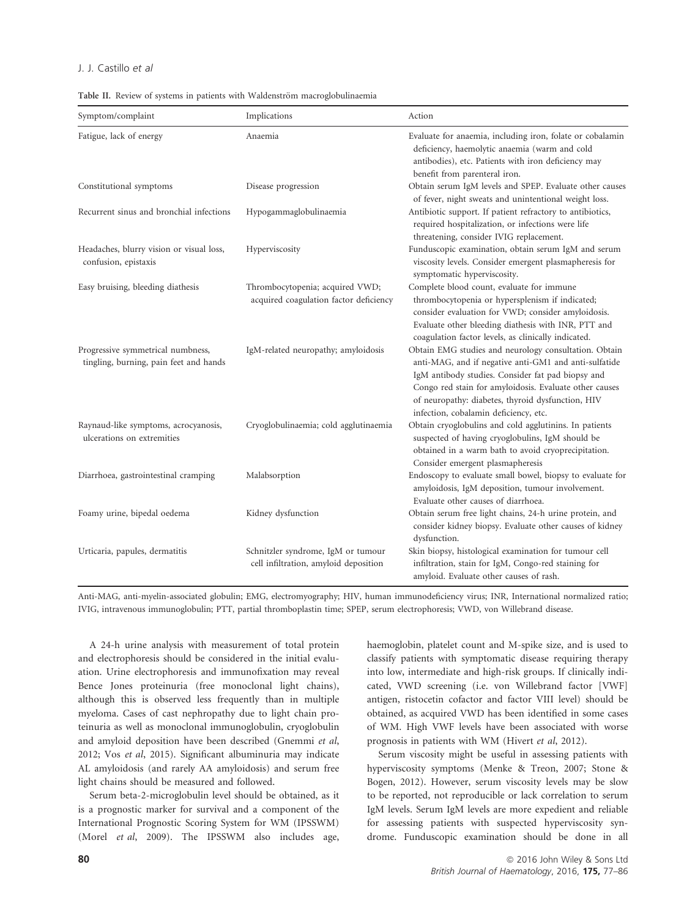## J. J. Castillo et al

|  |  |  |  |  |  | Table II. Review of systems in patients with Waldenström macroglobulinaemia |
|--|--|--|--|--|--|-----------------------------------------------------------------------------|
|--|--|--|--|--|--|-----------------------------------------------------------------------------|

| Symptom/complaint                                                           | Implications                                                                | Action                                                                                                                                                                                                                                                                                                                      |
|-----------------------------------------------------------------------------|-----------------------------------------------------------------------------|-----------------------------------------------------------------------------------------------------------------------------------------------------------------------------------------------------------------------------------------------------------------------------------------------------------------------------|
| Fatigue, lack of energy                                                     | Anaemia                                                                     | Evaluate for anaemia, including iron, folate or cobalamin<br>deficiency, haemolytic anaemia (warm and cold<br>antibodies), etc. Patients with iron deficiency may<br>benefit from parenteral iron.                                                                                                                          |
| Constitutional symptoms                                                     | Disease progression                                                         | Obtain serum IgM levels and SPEP. Evaluate other causes<br>of fever, night sweats and unintentional weight loss.                                                                                                                                                                                                            |
| Recurrent sinus and bronchial infections                                    | Hypogammaglobulinaemia                                                      | Antibiotic support. If patient refractory to antibiotics,<br>required hospitalization, or infections were life<br>threatening, consider IVIG replacement.                                                                                                                                                                   |
| Headaches, blurry vision or visual loss,<br>confusion, epistaxis            | Hyperviscosity                                                              | Funduscopic examination, obtain serum IgM and serum<br>viscosity levels. Consider emergent plasmapheresis for<br>symptomatic hyperviscosity.                                                                                                                                                                                |
| Easy bruising, bleeding diathesis                                           | Thrombocytopenia; acquired VWD;<br>acquired coagulation factor deficiency   | Complete blood count, evaluate for immune<br>thrombocytopenia or hypersplenism if indicated;<br>consider evaluation for VWD; consider amyloidosis.<br>Evaluate other bleeding diathesis with INR, PTT and<br>coagulation factor levels, as clinically indicated.                                                            |
| Progressive symmetrical numbness,<br>tingling, burning, pain feet and hands | IgM-related neuropathy; amyloidosis                                         | Obtain EMG studies and neurology consultation. Obtain<br>anti-MAG, and if negative anti-GM1 and anti-sulfatide<br>IgM antibody studies. Consider fat pad biopsy and<br>Congo red stain for amyloidosis. Evaluate other causes<br>of neuropathy: diabetes, thyroid dysfunction, HIV<br>infection, cobalamin deficiency, etc. |
| Raynaud-like symptoms, acrocyanosis,<br>ulcerations on extremities          | Cryoglobulinaemia; cold agglutinaemia                                       | Obtain cryoglobulins and cold agglutinins. In patients<br>suspected of having cryoglobulins, IgM should be<br>obtained in a warm bath to avoid cryoprecipitation.<br>Consider emergent plasmapheresis                                                                                                                       |
| Diarrhoea, gastrointestinal cramping                                        | Malabsorption                                                               | Endoscopy to evaluate small bowel, biopsy to evaluate for<br>amyloidosis, IgM deposition, tumour involvement.<br>Evaluate other causes of diarrhoea.                                                                                                                                                                        |
| Foamy urine, bipedal oedema                                                 | Kidney dysfunction                                                          | Obtain serum free light chains, 24-h urine protein, and<br>consider kidney biopsy. Evaluate other causes of kidney<br>dysfunction.                                                                                                                                                                                          |
| Urticaria, papules, dermatitis                                              | Schnitzler syndrome, IgM or tumour<br>cell infiltration, amyloid deposition | Skin biopsy, histological examination for tumour cell<br>infiltration, stain for IgM, Congo-red staining for<br>amyloid. Evaluate other causes of rash.                                                                                                                                                                     |

Anti-MAG, anti-myelin-associated globulin; EMG, electromyography; HIV, human immunodeficiency virus; INR, International normalized ratio; IVIG, intravenous immunoglobulin; PTT, partial thromboplastin time; SPEP, serum electrophoresis; VWD, von Willebrand disease.

A 24-h urine analysis with measurement of total protein and electrophoresis should be considered in the initial evaluation. Urine electrophoresis and immunofixation may reveal Bence Jones proteinuria (free monoclonal light chains), although this is observed less frequently than in multiple myeloma. Cases of cast nephropathy due to light chain proteinuria as well as monoclonal immunoglobulin, cryoglobulin and amyloid deposition have been described (Gnemmi et al, 2012; Vos et al, 2015). Significant albuminuria may indicate AL amyloidosis (and rarely AA amyloidosis) and serum free light chains should be measured and followed.

Serum beta-2-microglobulin level should be obtained, as it is a prognostic marker for survival and a component of the International Prognostic Scoring System for WM (IPSSWM) (Morel et al, 2009). The IPSSWM also includes age, haemoglobin, platelet count and M-spike size, and is used to classify patients with symptomatic disease requiring therapy into low, intermediate and high-risk groups. If clinically indicated, VWD screening (i.e. von Willebrand factor [VWF] antigen, ristocetin cofactor and factor VIII level) should be obtained, as acquired VWD has been identified in some cases of WM. High VWF levels have been associated with worse prognosis in patients with WM (Hivert et al, 2012).

Serum viscosity might be useful in assessing patients with hyperviscosity symptoms (Menke & Treon, 2007; Stone & Bogen, 2012). However, serum viscosity levels may be slow to be reported, not reproducible or lack correlation to serum IgM levels. Serum IgM levels are more expedient and reliable for assessing patients with suspected hyperviscosity syndrome. Funduscopic examination should be done in all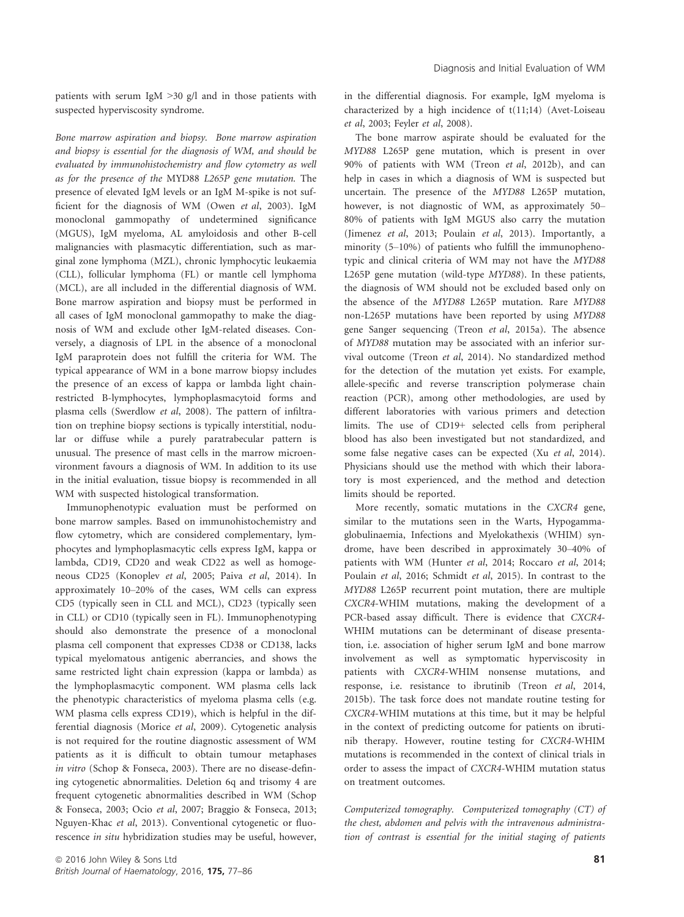patients with serum IgM >30 g/l and in those patients with suspected hyperviscosity syndrome.

Bone marrow aspiration and biopsy. Bone marrow aspiration and biopsy is essential for the diagnosis of WM, and should be evaluated by immunohistochemistry and flow cytometry as well as for the presence of the MYD88 L265P gene mutation. The presence of elevated IgM levels or an IgM M-spike is not sufficient for the diagnosis of WM (Owen et al, 2003). IgM monoclonal gammopathy of undetermined significance (MGUS), IgM myeloma, AL amyloidosis and other B-cell malignancies with plasmacytic differentiation, such as marginal zone lymphoma (MZL), chronic lymphocytic leukaemia (CLL), follicular lymphoma (FL) or mantle cell lymphoma (MCL), are all included in the differential diagnosis of WM. Bone marrow aspiration and biopsy must be performed in all cases of IgM monoclonal gammopathy to make the diagnosis of WM and exclude other IgM-related diseases. Conversely, a diagnosis of LPL in the absence of a monoclonal IgM paraprotein does not fulfill the criteria for WM. The typical appearance of WM in a bone marrow biopsy includes the presence of an excess of kappa or lambda light chainrestricted B-lymphocytes, lymphoplasmacytoid forms and plasma cells (Swerdlow et al, 2008). The pattern of infiltration on trephine biopsy sections is typically interstitial, nodular or diffuse while a purely paratrabecular pattern is unusual. The presence of mast cells in the marrow microenvironment favours a diagnosis of WM. In addition to its use in the initial evaluation, tissue biopsy is recommended in all WM with suspected histological transformation.

Immunophenotypic evaluation must be performed on bone marrow samples. Based on immunohistochemistry and flow cytometry, which are considered complementary, lymphocytes and lymphoplasmacytic cells express IgM, kappa or lambda, CD19, CD20 and weak CD22 as well as homogeneous CD25 (Konoplev et al, 2005; Paiva et al, 2014). In approximately 10–20% of the cases, WM cells can express CD5 (typically seen in CLL and MCL), CD23 (typically seen in CLL) or CD10 (typically seen in FL). Immunophenotyping should also demonstrate the presence of a monoclonal plasma cell component that expresses CD38 or CD138, lacks typical myelomatous antigenic aberrancies, and shows the same restricted light chain expression (kappa or lambda) as the lymphoplasmacytic component. WM plasma cells lack the phenotypic characteristics of myeloma plasma cells (e.g. WM plasma cells express CD19), which is helpful in the differential diagnosis (Morice et al, 2009). Cytogenetic analysis is not required for the routine diagnostic assessment of WM patients as it is difficult to obtain tumour metaphases in vitro (Schop & Fonseca, 2003). There are no disease-defining cytogenetic abnormalities. Deletion 6q and trisomy 4 are frequent cytogenetic abnormalities described in WM (Schop & Fonseca, 2003; Ocio et al, 2007; Braggio & Fonseca, 2013; Nguyen-Khac et al, 2013). Conventional cytogenetic or fluorescence in situ hybridization studies may be useful, however, in the differential diagnosis. For example, IgM myeloma is characterized by a high incidence of t(11;14) (Avet-Loiseau et al, 2003; Feyler et al, 2008).

The bone marrow aspirate should be evaluated for the MYD88 L265P gene mutation, which is present in over 90% of patients with WM (Treon et al, 2012b), and can help in cases in which a diagnosis of WM is suspected but uncertain. The presence of the MYD88 L265P mutation, however, is not diagnostic of WM, as approximately 50– 80% of patients with IgM MGUS also carry the mutation (Jimenez et al, 2013; Poulain et al, 2013). Importantly, a minority (5–10%) of patients who fulfill the immunophenotypic and clinical criteria of WM may not have the MYD88 L265P gene mutation (wild-type MYD88). In these patients, the diagnosis of WM should not be excluded based only on the absence of the MYD88 L265P mutation. Rare MYD88 non-L265P mutations have been reported by using MYD88 gene Sanger sequencing (Treon et al, 2015a). The absence of MYD88 mutation may be associated with an inferior survival outcome (Treon et al, 2014). No standardized method for the detection of the mutation yet exists. For example, allele-specific and reverse transcription polymerase chain reaction (PCR), among other methodologies, are used by different laboratories with various primers and detection limits. The use of CD19+ selected cells from peripheral blood has also been investigated but not standardized, and some false negative cases can be expected (Xu et al, 2014). Physicians should use the method with which their laboratory is most experienced, and the method and detection limits should be reported.

More recently, somatic mutations in the CXCR4 gene, similar to the mutations seen in the Warts, Hypogammaglobulinaemia, Infections and Myelokathexis (WHIM) syndrome, have been described in approximately 30–40% of patients with WM (Hunter et al, 2014; Roccaro et al, 2014; Poulain et al, 2016; Schmidt et al, 2015). In contrast to the MYD88 L265P recurrent point mutation, there are multiple CXCR4-WHIM mutations, making the development of a PCR-based assay difficult. There is evidence that CXCR4- WHIM mutations can be determinant of disease presentation, i.e. association of higher serum IgM and bone marrow involvement as well as symptomatic hyperviscosity in patients with CXCR4-WHIM nonsense mutations, and response, i.e. resistance to ibrutinib (Treon et al, 2014, 2015b). The task force does not mandate routine testing for CXCR4-WHIM mutations at this time, but it may be helpful in the context of predicting outcome for patients on ibrutinib therapy. However, routine testing for CXCR4-WHIM mutations is recommended in the context of clinical trials in order to assess the impact of CXCR4-WHIM mutation status on treatment outcomes.

Computerized tomography. Computerized tomography (CT) of the chest, abdomen and pelvis with the intravenous administration of contrast is essential for the initial staging of patients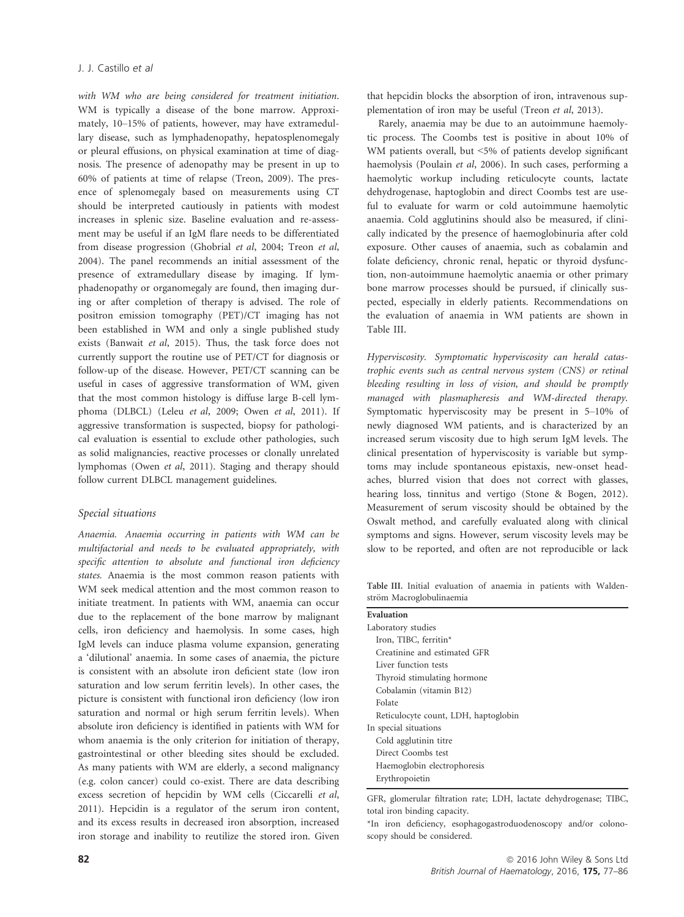#### J. J. Castillo et al

with WM who are being considered for treatment initiation. WM is typically a disease of the bone marrow. Approximately, 10–15% of patients, however, may have extramedullary disease, such as lymphadenopathy, hepatosplenomegaly or pleural effusions, on physical examination at time of diagnosis. The presence of adenopathy may be present in up to 60% of patients at time of relapse (Treon, 2009). The presence of splenomegaly based on measurements using CT should be interpreted cautiously in patients with modest increases in splenic size. Baseline evaluation and re-assessment may be useful if an IgM flare needs to be differentiated from disease progression (Ghobrial et al, 2004; Treon et al, 2004). The panel recommends an initial assessment of the presence of extramedullary disease by imaging. If lymphadenopathy or organomegaly are found, then imaging during or after completion of therapy is advised. The role of positron emission tomography (PET)/CT imaging has not been established in WM and only a single published study exists (Banwait et al, 2015). Thus, the task force does not currently support the routine use of PET/CT for diagnosis or follow-up of the disease. However, PET/CT scanning can be useful in cases of aggressive transformation of WM, given that the most common histology is diffuse large B-cell lymphoma (DLBCL) (Leleu et al, 2009; Owen et al, 2011). If aggressive transformation is suspected, biopsy for pathological evaluation is essential to exclude other pathologies, such as solid malignancies, reactive processes or clonally unrelated lymphomas (Owen et al, 2011). Staging and therapy should follow current DLBCL management guidelines.

#### Special situations

Anaemia. Anaemia occurring in patients with WM can be multifactorial and needs to be evaluated appropriately, with specific attention to absolute and functional iron deficiency states. Anaemia is the most common reason patients with WM seek medical attention and the most common reason to initiate treatment. In patients with WM, anaemia can occur due to the replacement of the bone marrow by malignant cells, iron deficiency and haemolysis. In some cases, high IgM levels can induce plasma volume expansion, generating a 'dilutional' anaemia. In some cases of anaemia, the picture is consistent with an absolute iron deficient state (low iron saturation and low serum ferritin levels). In other cases, the picture is consistent with functional iron deficiency (low iron saturation and normal or high serum ferritin levels). When absolute iron deficiency is identified in patients with WM for whom anaemia is the only criterion for initiation of therapy, gastrointestinal or other bleeding sites should be excluded. As many patients with WM are elderly, a second malignancy (e.g. colon cancer) could co-exist. There are data describing excess secretion of hepcidin by WM cells (Ciccarelli et al, 2011). Hepcidin is a regulator of the serum iron content, and its excess results in decreased iron absorption, increased iron storage and inability to reutilize the stored iron. Given that hepcidin blocks the absorption of iron, intravenous supplementation of iron may be useful (Treon et al, 2013).

Rarely, anaemia may be due to an autoimmune haemolytic process. The Coombs test is positive in about 10% of WM patients overall, but <5% of patients develop significant haemolysis (Poulain et al, 2006). In such cases, performing a haemolytic workup including reticulocyte counts, lactate dehydrogenase, haptoglobin and direct Coombs test are useful to evaluate for warm or cold autoimmune haemolytic anaemia. Cold agglutinins should also be measured, if clinically indicated by the presence of haemoglobinuria after cold exposure. Other causes of anaemia, such as cobalamin and folate deficiency, chronic renal, hepatic or thyroid dysfunction, non-autoimmune haemolytic anaemia or other primary bone marrow processes should be pursued, if clinically suspected, especially in elderly patients. Recommendations on the evaluation of anaemia in WM patients are shown in Table III.

Hyperviscosity. Symptomatic hyperviscosity can herald catastrophic events such as central nervous system (CNS) or retinal bleeding resulting in loss of vision, and should be promptly managed with plasmapheresis and WM-directed therapy. Symptomatic hyperviscosity may be present in 5–10% of newly diagnosed WM patients, and is characterized by an increased serum viscosity due to high serum IgM levels. The clinical presentation of hyperviscosity is variable but symptoms may include spontaneous epistaxis, new-onset headaches, blurred vision that does not correct with glasses, hearing loss, tinnitus and vertigo (Stone & Bogen, 2012). Measurement of serum viscosity should be obtained by the Oswalt method, and carefully evaluated along with clinical symptoms and signs. However, serum viscosity levels may be slow to be reported, and often are not reproducible or lack

Table III. Initial evaluation of anaemia in patients with Waldenström Macroglobulinaemia

| Evaluation                           |  |
|--------------------------------------|--|
| Laboratory studies                   |  |
| Iron, TIBC, ferritin*                |  |
| Creatinine and estimated GFR         |  |
| Liver function tests                 |  |
| Thyroid stimulating hormone          |  |
| Cobalamin (vitamin B12)              |  |
| Folate                               |  |
| Reticulocyte count, LDH, haptoglobin |  |
| In special situations                |  |
| Cold agglutinin titre                |  |
| Direct Coombs test                   |  |
| Haemoglobin electrophoresis          |  |
| Erythropoietin                       |  |

GFR, glomerular filtration rate; LDH, lactate dehydrogenase; TIBC, total iron binding capacity.

<sup>\*</sup>In iron deficiency, esophagogastroduodenoscopy and/or colonoscopy should be considered.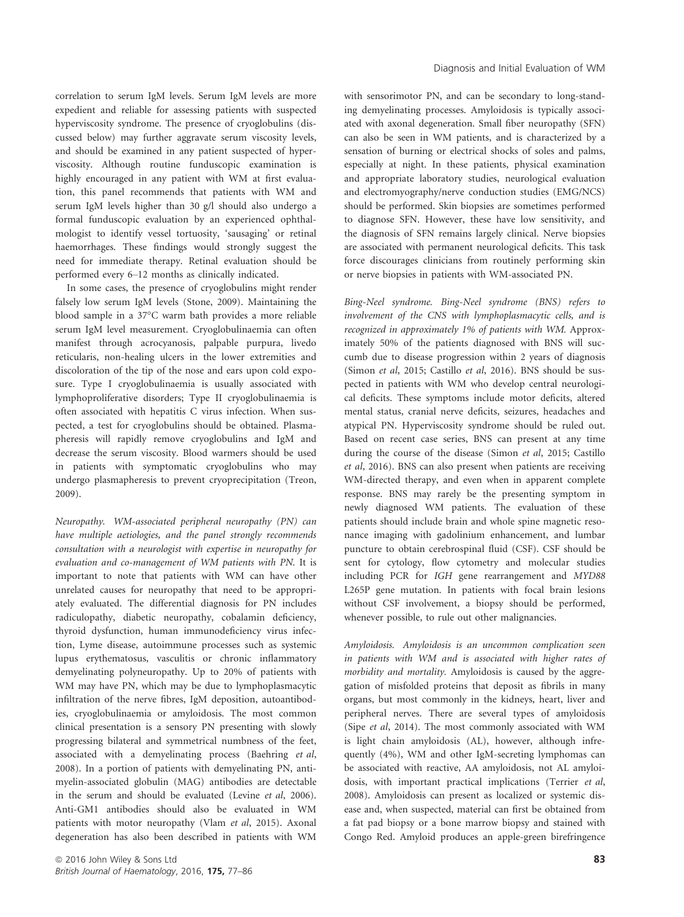correlation to serum IgM levels. Serum IgM levels are more expedient and reliable for assessing patients with suspected hyperviscosity syndrome. The presence of cryoglobulins (discussed below) may further aggravate serum viscosity levels, and should be examined in any patient suspected of hyperviscosity. Although routine funduscopic examination is highly encouraged in any patient with WM at first evaluation, this panel recommends that patients with WM and serum IgM levels higher than 30 g/l should also undergo a formal funduscopic evaluation by an experienced ophthalmologist to identify vessel tortuosity, 'sausaging' or retinal haemorrhages. These findings would strongly suggest the need for immediate therapy. Retinal evaluation should be performed every 6–12 months as clinically indicated.

In some cases, the presence of cryoglobulins might render falsely low serum IgM levels (Stone, 2009). Maintaining the blood sample in a 37°C warm bath provides a more reliable serum IgM level measurement. Cryoglobulinaemia can often manifest through acrocyanosis, palpable purpura, livedo reticularis, non-healing ulcers in the lower extremities and discoloration of the tip of the nose and ears upon cold exposure. Type I cryoglobulinaemia is usually associated with lymphoproliferative disorders; Type II cryoglobulinaemia is often associated with hepatitis C virus infection. When suspected, a test for cryoglobulins should be obtained. Plasmapheresis will rapidly remove cryoglobulins and IgM and decrease the serum viscosity. Blood warmers should be used in patients with symptomatic cryoglobulins who may undergo plasmapheresis to prevent cryoprecipitation (Treon, 2009).

Neuropathy. WM-associated peripheral neuropathy (PN) can have multiple aetiologies, and the panel strongly recommends consultation with a neurologist with expertise in neuropathy for evaluation and co-management of WM patients with PN. It is important to note that patients with WM can have other unrelated causes for neuropathy that need to be appropriately evaluated. The differential diagnosis for PN includes radiculopathy, diabetic neuropathy, cobalamin deficiency, thyroid dysfunction, human immunodeficiency virus infection, Lyme disease, autoimmune processes such as systemic lupus erythematosus, vasculitis or chronic inflammatory demyelinating polyneuropathy. Up to 20% of patients with WM may have PN, which may be due to lymphoplasmacytic infiltration of the nerve fibres, IgM deposition, autoantibodies, cryoglobulinaemia or amyloidosis. The most common clinical presentation is a sensory PN presenting with slowly progressing bilateral and symmetrical numbness of the feet, associated with a demyelinating process (Baehring et al, 2008). In a portion of patients with demyelinating PN, antimyelin-associated globulin (MAG) antibodies are detectable in the serum and should be evaluated (Levine et al, 2006). Anti-GM1 antibodies should also be evaluated in WM patients with motor neuropathy (Vlam et al, 2015). Axonal degeneration has also been described in patients with WM with sensorimotor PN, and can be secondary to long-standing demyelinating processes. Amyloidosis is typically associated with axonal degeneration. Small fiber neuropathy (SFN) can also be seen in WM patients, and is characterized by a sensation of burning or electrical shocks of soles and palms, especially at night. In these patients, physical examination and appropriate laboratory studies, neurological evaluation and electromyography/nerve conduction studies (EMG/NCS) should be performed. Skin biopsies are sometimes performed to diagnose SFN. However, these have low sensitivity, and the diagnosis of SFN remains largely clinical. Nerve biopsies are associated with permanent neurological deficits. This task force discourages clinicians from routinely performing skin or nerve biopsies in patients with WM-associated PN.

Bing-Neel syndrome. Bing-Neel syndrome (BNS) refers to involvement of the CNS with lymphoplasmacytic cells, and is recognized in approximately 1% of patients with WM. Approximately 50% of the patients diagnosed with BNS will succumb due to disease progression within 2 years of diagnosis (Simon et al, 2015; Castillo et al, 2016). BNS should be suspected in patients with WM who develop central neurological deficits. These symptoms include motor deficits, altered mental status, cranial nerve deficits, seizures, headaches and atypical PN. Hyperviscosity syndrome should be ruled out. Based on recent case series, BNS can present at any time during the course of the disease (Simon et al, 2015; Castillo et al, 2016). BNS can also present when patients are receiving WM-directed therapy, and even when in apparent complete response. BNS may rarely be the presenting symptom in newly diagnosed WM patients. The evaluation of these patients should include brain and whole spine magnetic resonance imaging with gadolinium enhancement, and lumbar puncture to obtain cerebrospinal fluid (CSF). CSF should be sent for cytology, flow cytometry and molecular studies including PCR for IGH gene rearrangement and MYD88 L265P gene mutation. In patients with focal brain lesions without CSF involvement, a biopsy should be performed, whenever possible, to rule out other malignancies.

Amyloidosis. Amyloidosis is an uncommon complication seen in patients with WM and is associated with higher rates of morbidity and mortality. Amyloidosis is caused by the aggregation of misfolded proteins that deposit as fibrils in many organs, but most commonly in the kidneys, heart, liver and peripheral nerves. There are several types of amyloidosis (Sipe et al, 2014). The most commonly associated with WM is light chain amyloidosis (AL), however, although infrequently (4%), WM and other IgM-secreting lymphomas can be associated with reactive, AA amyloidosis, not AL amyloidosis, with important practical implications (Terrier et al, 2008). Amyloidosis can present as localized or systemic disease and, when suspected, material can first be obtained from a fat pad biopsy or a bone marrow biopsy and stained with Congo Red. Amyloid produces an apple-green birefringence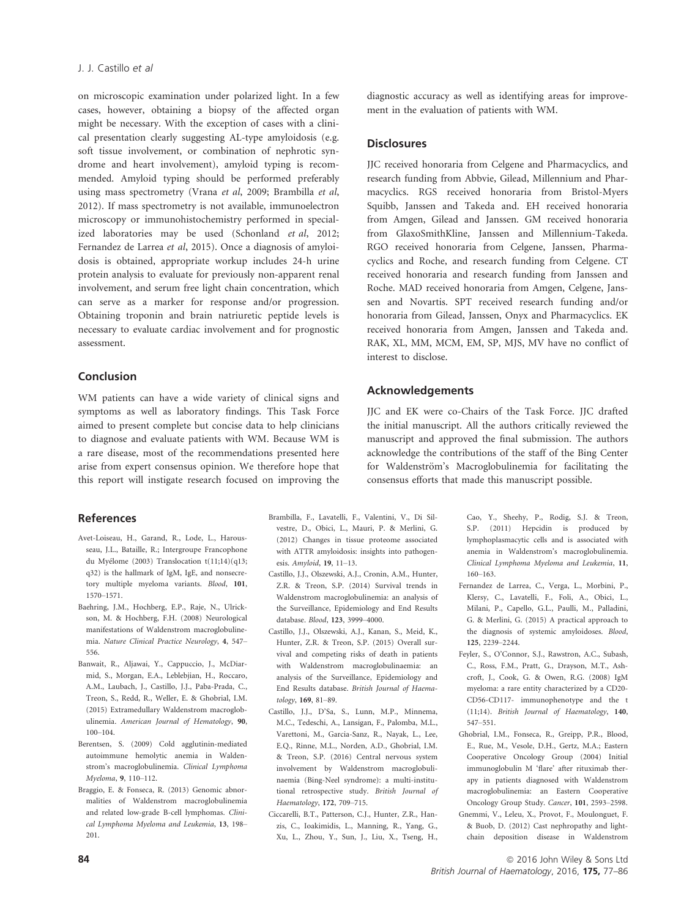#### J. J. Castillo et al

on microscopic examination under polarized light. In a few cases, however, obtaining a biopsy of the affected organ might be necessary. With the exception of cases with a clinical presentation clearly suggesting AL-type amyloidosis (e.g. soft tissue involvement, or combination of nephrotic syndrome and heart involvement), amyloid typing is recommended. Amyloid typing should be performed preferably using mass spectrometry (Vrana et al, 2009; Brambilla et al, 2012). If mass spectrometry is not available, immunoelectron microscopy or immunohistochemistry performed in specialized laboratories may be used (Schonland et al, 2012; Fernandez de Larrea et al, 2015). Once a diagnosis of amyloidosis is obtained, appropriate workup includes 24-h urine protein analysis to evaluate for previously non-apparent renal involvement, and serum free light chain concentration, which can serve as a marker for response and/or progression. Obtaining troponin and brain natriuretic peptide levels is necessary to evaluate cardiac involvement and for prognostic assessment.

## Conclusion

WM patients can have a wide variety of clinical signs and symptoms as well as laboratory findings. This Task Force aimed to present complete but concise data to help clinicians to diagnose and evaluate patients with WM. Because WM is a rare disease, most of the recommendations presented here arise from expert consensus opinion. We therefore hope that this report will instigate research focused on improving the

## References

- Avet-Loiseau, H., Garand, R., Lode, L., Harousseau, J.L., Bataille, R.; Intergroupe Francophone du Myélome (2003) Translocation t(11;14)(q13; q32) is the hallmark of IgM, IgE, and nonsecretory multiple myeloma variants. Blood, 101, 1570–1571.
- Baehring, J.M., Hochberg, E.P., Raje, N., Ulrickson, M. & Hochberg, F.H. (2008) Neurological manifestations of Waldenstrom macroglobulinemia. Nature Clinical Practice Neurology, 4, 547– 556.
- Banwait, R., Aljawai, Y., Cappuccio, J., McDiarmid, S., Morgan, E.A., Leblebjian, H., Roccaro, A.M., Laubach, J., Castillo, J.J., Paba-Prada, C., Treon, S., Redd, R., Weller, E. & Ghobrial, I.M. (2015) Extramedullary Waldenstrom macroglobulinemia. American Journal of Hematology, 90, 100–104.
- Berentsen, S. (2009) Cold agglutinin-mediated autoimmune hemolytic anemia in Waldenstrom's macroglobulinemia. Clinical Lymphoma Myeloma, 9, 110–112.
- Braggio, E. & Fonseca, R. (2013) Genomic abnormalities of Waldenstrom macroglobulinemia and related low-grade B-cell lymphomas. Clinical Lymphoma Myeloma and Leukemia, 13, 198– 201.

diagnostic accuracy as well as identifying areas for improvement in the evaluation of patients with WM.

## **Disclosures**

JJC received honoraria from Celgene and Pharmacyclics, and research funding from Abbvie, Gilead, Millennium and Pharmacyclics. RGS received honoraria from Bristol-Myers Squibb, Janssen and Takeda and. EH received honoraria from Amgen, Gilead and Janssen. GM received honoraria from GlaxoSmithKline, Janssen and Millennium-Takeda. RGO received honoraria from Celgene, Janssen, Pharmacyclics and Roche, and research funding from Celgene. CT received honoraria and research funding from Janssen and Roche. MAD received honoraria from Amgen, Celgene, Janssen and Novartis. SPT received research funding and/or honoraria from Gilead, Janssen, Onyx and Pharmacyclics. EK received honoraria from Amgen, Janssen and Takeda and. RAK, XL, MM, MCM, EM, SP, MJS, MV have no conflict of interest to disclose.

### Acknowledgements

JJC and EK were co-Chairs of the Task Force. JJC drafted the initial manuscript. All the authors critically reviewed the manuscript and approved the final submission. The authors acknowledge the contributions of the staff of the Bing Center for Waldenström's Macroglobulinemia for facilitating the consensus efforts that made this manuscript possible.

- Brambilla, F., Lavatelli, F., Valentini, V., Di Silvestre, D., Obici, L., Mauri, P. & Merlini, G. (2012) Changes in tissue proteome associated with ATTR amyloidosis: insights into pathogenesis. Amyloid, 19, 11–13.
- Castillo, J.J., Olszewski, A.J., Cronin, A.M., Hunter, Z.R. & Treon, S.P. (2014) Survival trends in Waldenstrom macroglobulinemia: an analysis of the Surveillance, Epidemiology and End Results database. Blood, 123, 3999–4000.
- Castillo, J.J., Olszewski, A.J., Kanan, S., Meid, K., Hunter, Z.R. & Treon, S.P. (2015) Overall survival and competing risks of death in patients with Waldenstrom macroglobulinaemia: an analysis of the Surveillance, Epidemiology and End Results database. British Journal of Haematology, 169, 81–89.
- Castillo, J.J., D'Sa, S., Lunn, M.P., Minnema, M.C., Tedeschi, A., Lansigan, F., Palomba, M.L., Varettoni, M., Garcia-Sanz, R., Nayak, L., Lee, E.Q., Rinne, M.L., Norden, A.D., Ghobrial, I.M. & Treon, S.P. (2016) Central nervous system involvement by Waldenstrom macroglobulinaemia (Bing-Neel syndrome): a multi-institutional retrospective study. British Journal of Haematology, 172, 709–715.
- Ciccarelli, B.T., Patterson, C.J., Hunter, Z.R., Hanzis, C., Ioakimidis, L., Manning, R., Yang, G., Xu, L., Zhou, Y., Sun, J., Liu, X., Tseng, H.,

Cao, Y., Sheehy, P., Rodig, S.J. & Treon, S.P. (2011) Hepcidin is produced by lymphoplasmacytic cells and is associated with anemia in Waldenstrom's macroglobulinemia. Clinical Lymphoma Myeloma and Leukemia, 11, 160–163.

- Fernandez de Larrea, C., Verga, L., Morbini, P., Klersy, C., Lavatelli, F., Foli, A., Obici, L., Milani, P., Capello, G.L., Paulli, M., Palladini, G. & Merlini, G. (2015) A practical approach to the diagnosis of systemic amyloidoses. Blood, 125, 2239–2244.
- Feyler, S., O'Connor, S.J., Rawstron, A.C., Subash, C., Ross, F.M., Pratt, G., Drayson, M.T., Ashcroft, J., Cook, G. & Owen, R.G. (2008) IgM myeloma: a rare entity characterized by a CD20- CD56-CD117- immunophenotype and the t (11;14). British Journal of Haematology, 140, 547–551.
- Ghobrial, I.M., Fonseca, R., Greipp, P.R., Blood, E., Rue, M., Vesole, D.H., Gertz, M.A.; Eastern Cooperative Oncology Group (2004) Initial immunoglobulin M 'flare' after rituximab therapy in patients diagnosed with Waldenstrom macroglobulinemia: an Eastern Cooperative Oncology Group Study. Cancer, 101, 2593–2598.
- Gnemmi, V., Leleu, X., Provot, F., Moulonguet, F. & Buob, D. (2012) Cast nephropathy and lightchain deposition disease in Waldenstrom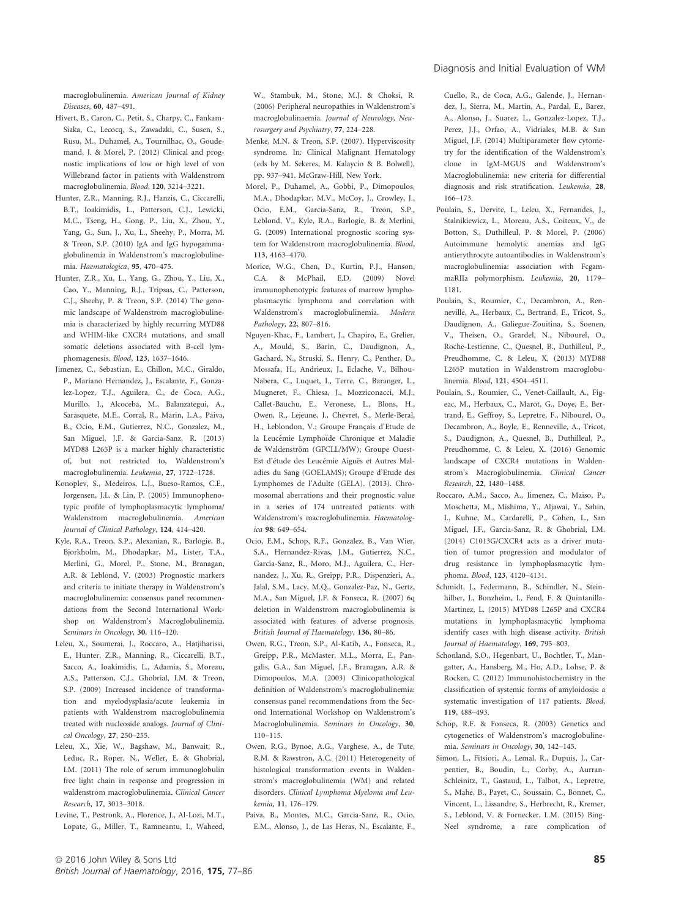macroglobulinemia. American Journal of Kidney Diseases, 60, 487–491.

- Hivert, B., Caron, C., Petit, S., Charpy, C., Fankam-Siaka, C., Lecocq, S., Zawadzki, C., Susen, S., Rusu, M., Duhamel, A., Tournilhac, O., Goudemand, J. & Morel, P. (2012) Clinical and prognostic implications of low or high level of von Willebrand factor in patients with Waldenstrom macroglobulinemia. Blood, 120, 3214–3221.
- Hunter, Z.R., Manning, R.J., Hanzis, C., Ciccarelli, B.T., Ioakimidis, L., Patterson, C.J., Lewicki, M.C., Tseng, H., Gong, P., Liu, X., Zhou, Y., Yang, G., Sun, J., Xu, L., Sheehy, P., Morra, M. & Treon, S.P. (2010) IgA and IgG hypogammaglobulinemia in Waldenstrom's macroglobulinemia. Haematologica, 95, 470–475.
- Hunter, Z.R., Xu, L., Yang, G., Zhou, Y., Liu, X., Cao, Y., Manning, R.J., Tripsas, C., Patterson, C.J., Sheehy, P. & Treon, S.P. (2014) The genomic landscape of Waldenstrom macroglobulinemia is characterized by highly recurring MYD88 and WHIM-like CXCR4 mutations, and small somatic deletions associated with B-cell lymphomagenesis. Blood, 123, 1637–1646.
- Jimenez, C., Sebastian, E., Chillon, M.C., Giraldo, P., Mariano Hernandez, J., Escalante, F., Gonzalez-Lopez, T.J., Aguilera, C., de Coca, A.G., Murillo, I., Alcoceba, M., Balanzategui, A., Sarasquete, M.E., Corral, R., Marin, L.A., Paiva, B., Ocio, E.M., Gutierrez, N.C., Gonzalez, M., San Miguel, J.F. & Garcia-Sanz, R. (2013) MYD88 L265P is a marker highly characteristic of, but not restricted to, Waldenstrom's macroglobulinemia. Leukemia, 27, 1722–1728.
- Konoplev, S., Medeiros, L.J., Bueso-Ramos, C.E., Jorgensen, J.L. & Lin, P. (2005) Immunophenotypic profile of lymphoplasmacytic lymphoma/ Waldenstrom macroglobulinemia. American Journal of Clinical Pathology, 124, 414–420.
- Kyle, R.A., Treon, S.P., Alexanian, R., Barlogie, B., Bjorkholm, M., Dhodapkar, M., Lister, T.A., Merlini, G., Morel, P., Stone, M., Branagan, A.R. & Leblond, V. (2003) Prognostic markers and criteria to initiate therapy in Waldenstrom's macroglobulinemia: consensus panel recommendations from the Second International Workshop on Waldenstrom's Macroglobulinemia. Seminars in Oncology, 30, 116–120.
- Leleu, X., Soumerai, J., Roccaro, A., Hatjiharissi, E., Hunter, Z.R., Manning, R., Ciccarelli, B.T., Sacco, A., Ioakimidis, L., Adamia, S., Moreau, A.S., Patterson, C.J., Ghobrial, I.M. & Treon, S.P. (2009) Increased incidence of transformation and myelodysplasia/acute leukemia in patients with Waldenstrom macroglobulinemia treated with nucleoside analogs. Journal of Clinical Oncology, 27, 250–255.
- Leleu, X., Xie, W., Bagshaw, M., Banwait, R., Leduc, R., Roper, N., Weller, E. & Ghobrial, I.M. (2011) The role of serum immunoglobulin free light chain in response and progression in waldenstrom macroglobulinemia. Clinical Cancer Research, 17, 3013–3018.
- Levine, T., Pestronk, A., Florence, J., Al-Lozi, M.T., Lopate, G., Miller, T., Ramneantu, I., Waheed,

W., Stambuk, M., Stone, M.J. & Choksi, R. (2006) Peripheral neuropathies in Waldenstrom's macroglobulinaemia. Journal of Neurology, Neurosurgery and Psychiatry, 77, 224–228.

- Menke, M.N. & Treon, S.P. (2007). Hyperviscosity syndrome. In: Clinical Malignant Hematology (eds by M. Sekeres, M. Kalaycio & B. Bolwell), pp. 937–941. McGraw-Hill, New York.
- Morel, P., Duhamel, A., Gobbi, P., Dimopoulos, M.A., Dhodapkar, M.V., McCoy, J., Crowley, J., Ocio, E.M., Garcia-Sanz, R., Treon, S.P., Leblond, V., Kyle, R.A., Barlogie, B. & Merlini, G. (2009) International prognostic scoring system for Waldenstrom macroglobulinemia. Blood, 113, 4163–4170.
- Morice, W.G., Chen, D., Kurtin, P.J., Hanson, C.A. & McPhail, E.D. (2009) Novel immunophenotypic features of marrow lymphoplasmacytic lymphoma and correlation with Waldenstrom's macroglobulinemia. Modern Pathology, 22, 807–816.
- Nguyen-Khac, F., Lambert, J., Chapiro, E., Grelier, A., Mould, S., Barin, C., Daudignon, A., Gachard, N., Struski, S., Henry, C., Penther, D., Mossafa, H., Andrieux, J., Eclache, V., Bilhou-Nabera, C., Luquet, I., Terre, C., Baranger, L., Mugneret, F., Chiesa, J., Mozziconacci, M.J., Callet-Bauchu, E., Veronese, L., Blons, H., Owen, R., Lejeune, J., Chevret, S., Merle-Beral, H., Leblondon, V.; Groupe Francais d'Etude de la Leucémie Lymphoïde Chronique et Maladie de Waldenström (GFCLL/MW); Groupe Ouest-Est d'étude des Leucémie Aiguës et Autres Maladies du Sang (GOELAMS); Groupe d'Etude des Lymphomes de l'Adulte (GELA). (2013). Chromosomal aberrations and their prognostic value in a series of 174 untreated patients with Waldenstrom's macroglobulinemia. Haematologica 98: 649–654.
- Ocio, E.M., Schop, R.F., Gonzalez, B., Van Wier, S.A., Hernandez-Rivas, J.M., Gutierrez, N.C., Garcia-Sanz, R., Moro, M.J., Aguilera, C., Hernandez, J., Xu, R., Greipp, P.R., Dispenzieri, A., Jalal, S.M., Lacy, M.Q., Gonzalez-Paz, N., Gertz, M.A., San Miguel, J.F. & Fonseca, R. (2007) 6q deletion in Waldenstrom macroglobulinemia is associated with features of adverse prognosis. British Journal of Haematology, 136, 80–86.
- Owen, R.G., Treon, S.P., Al-Katib, A., Fonseca, R., Greipp, P.R., McMaster, M.L., Morra, E., Pangalis, G.A., San Miguel, J.F., Branagan, A.R. & Dimopoulos, M.A. (2003) Clinicopathological definition of Waldenstrom's macroglobulinemia: consensus panel recommendations from the Second International Workshop on Waldenstrom's Macroglobulinemia. Seminars in Oncology, 30, 110–115.
- Owen, R.G., Bynoe, A.G., Varghese, A., de Tute, R.M. & Rawstron, A.C. (2011) Heterogeneity of histological transformation events in Waldenstrom's macroglobulinemia (WM) and related disorders. Clinical Lymphoma Myeloma and Leukemia, 11, 176–179.
- Paiva, B., Montes, M.C., Garcia-Sanz, R., Ocio, E.M., Alonso, J., de Las Heras, N., Escalante, F.,

Cuello, R., de Coca, A.G., Galende, J., Hernandez, J., Sierra, M., Martin, A., Pardal, E., Barez, A., Alonso, J., Suarez, L., Gonzalez-Lopez, T.J., Perez, J.J., Orfao, A., Vidriales, M.B. & San Miguel, J.F. (2014) Multiparameter flow cytometry for the identification of the Waldenstrom's clone in IgM-MGUS and Waldenstrom's Macroglobulinemia: new criteria for differential diagnosis and risk stratification. Leukemia, 28, 166–173.

- Poulain, S., Dervite, I., Leleu, X., Fernandes, J., Stalnikiewicz, L., Moreau, A.S., Coiteux, V., de Botton, S., Duthilleul, P. & Morel, P. (2006) Autoimmune hemolytic anemias and IgG antierythrocyte autoantibodies in Waldenstrom's macroglobulinemia: association with FcgammaRIIa polymorphism. Leukemia, 20, 1179– 1181.
- Poulain, S., Roumier, C., Decambron, A., Renneville, A., Herbaux, C., Bertrand, E., Tricot, S., Daudignon, A., Galiegue-Zouitina, S., Soenen, V., Theisen, O., Grardel, N., Nibourel, O., Roche-Lestienne, C., Quesnel, B., Duthilleul, P., Preudhomme, C. & Leleu, X. (2013) MYD88 L265P mutation in Waldenstrom macroglobulinemia. Blood, 121, 4504–4511.
- Poulain, S., Roumier, C., Venet-Caillault, A., Figeac, M., Herbaux, C., Marot, G., Doye, E., Bertrand, E., Geffroy, S., Lepretre, F., Nibourel, O., Decambron, A., Boyle, E., Renneville, A., Tricot, S., Daudignon, A., Quesnel, B., Duthilleul, P., Preudhomme, C. & Leleu, X. (2016) Genomic landscape of CXCR4 mutations in Waldenstrom's Macroglobulinemia. Clinical Cancer Research, 22, 1480–1488.
- Roccaro, A.M., Sacco, A., Jimenez, C., Maiso, P., Moschetta, M., Mishima, Y., Aljawai, Y., Sahin, I., Kuhne, M., Cardarelli, P., Cohen, L., San Miguel, J.F., Garcia-Sanz, R. & Ghobrial, I.M. (2014) C1013G/CXCR4 acts as a driver mutation of tumor progression and modulator of drug resistance in lymphoplasmacytic lymphoma. Blood, 123, 4120–4131.
- Schmidt, J., Federmann, B., Schindler, N., Steinhilber, J., Bonzheim, I., Fend, F. & Quintanilla-Martinez, L. (2015) MYD88 L265P and CXCR4 mutations in lymphoplasmacytic lymphoma identify cases with high disease activity. British Journal of Haematology, 169, 795–803.
- Schonland, S.O., Hegenbart, U., Bochtler, T., Mangatter, A., Hansberg, M., Ho, A.D., Lohse, P. & Rocken, C. (2012) Immunohistochemistry in the classification of systemic forms of amyloidosis: a systematic investigation of 117 patients. Blood, 119, 488–493.
- Schop, R.F. & Fonseca, R. (2003) Genetics and cytogenetics of Waldenstrom's macroglobulinemia. Seminars in Oncology, 30, 142–145.
- Simon, L., Fitsiori, A., Lemal, R., Dupuis, J., Carpentier, B., Boudin, L., Corby, A., Aurran-Schleinitz, T., Gastaud, L., Talbot, A., Lepretre, S., Mahe, B., Payet, C., Soussain, C., Bonnet, C., Vincent, L., Lissandre, S., Herbrecht, R., Kremer, S., Leblond, V. & Fornecker, L.M. (2015) Bing-Neel syndrome, a rare complication of